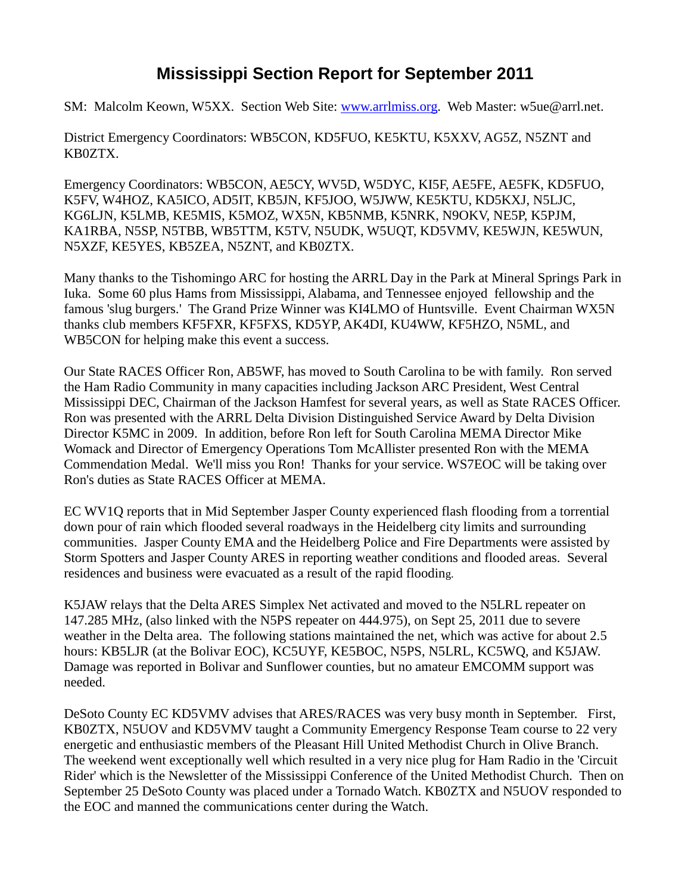## **Mississippi Section Report for September 2011**

SM: Malcolm Keown, W5XX. Section Web Site: [www.arrlmiss.org.](http://www.arrlmiss.org/) Web Master: w5ue@arrl.net.

District Emergency Coordinators: WB5CON, KD5FUO, KE5KTU, K5XXV, AG5Z, N5ZNT and KB0ZTX.

Emergency Coordinators: WB5CON, AE5CY, WV5D, W5DYC, KI5F, AE5FE, AE5FK, KD5FUO, K5FV, W4HOZ, KA5ICO, AD5IT, KB5JN, KF5JOO, W5JWW, KE5KTU, KD5KXJ, N5LJC, KG6LJN, K5LMB, KE5MIS, K5MOZ, WX5N, KB5NMB, K5NRK, N9OKV, NE5P, K5PJM, KA1RBA, N5SP, N5TBB, WB5TTM, K5TV, N5UDK, W5UQT, KD5VMV, KE5WJN, KE5WUN, N5XZF, KE5YES, KB5ZEA, N5ZNT, and KB0ZTX.

Many thanks to the Tishomingo ARC for hosting the ARRL Day in the Park at Mineral Springs Park in Iuka. Some 60 plus Hams from Mississippi, Alabama, and Tennessee enjoyed fellowship and the famous 'slug burgers.' The Grand Prize Winner was KI4LMO of Huntsville. Event Chairman WX5N thanks club members KF5FXR, KF5FXS, KD5YP, AK4DI, KU4WW, KF5HZO, N5ML, and WB5CON for helping make this event a success.

Our State RACES Officer Ron, AB5WF, has moved to South Carolina to be with family. Ron served the Ham Radio Community in many capacities including Jackson ARC President, West Central Mississippi DEC, Chairman of the Jackson Hamfest for several years, as well as State RACES Officer. Ron was presented with the ARRL Delta Division Distinguished Service Award by Delta Division Director K5MC in 2009. In addition, before Ron left for South Carolina MEMA Director Mike Womack and Director of Emergency Operations Tom McAllister presented Ron with the MEMA Commendation Medal. We'll miss you Ron! Thanks for your service. WS7EOC will be taking over Ron's duties as State RACES Officer at MEMA.

EC WV1Q reports that in Mid September Jasper County experienced flash flooding from a torrential down pour of rain which flooded several roadways in the Heidelberg city limits and surrounding communities. Jasper County EMA and the Heidelberg Police and Fire Departments were assisted by Storm Spotters and Jasper County ARES in reporting weather conditions and flooded areas. Several residences and business were evacuated as a result of the rapid flooding.

K5JAW relays that the Delta ARES Simplex Net activated and moved to the N5LRL repeater on 147.285 MHz, (also linked with the N5PS repeater on 444.975), on Sept 25, 2011 due to severe weather in the Delta area. The following stations maintained the net, which was active for about 2.5 hours: KB5LJR (at the Bolivar EOC), KC5UYF, KE5BOC, N5PS, N5LRL, KC5WQ, and K5JAW. Damage was reported in Bolivar and Sunflower counties, but no amateur EMCOMM support was needed.

DeSoto County EC KD5VMV advises that ARES/RACES was very busy month in September. First, KB0ZTX, N5UOV and KD5VMV taught a Community Emergency Response Team course to 22 very energetic and enthusiastic members of the Pleasant Hill United Methodist Church in Olive Branch. The weekend went exceptionally well which resulted in a very nice plug for Ham Radio in the 'Circuit Rider' which is the Newsletter of the Mississippi Conference of the United Methodist Church. Then on September 25 DeSoto County was placed under a Tornado Watch. KB0ZTX and N5UOV responded to the EOC and manned the communications center during the Watch.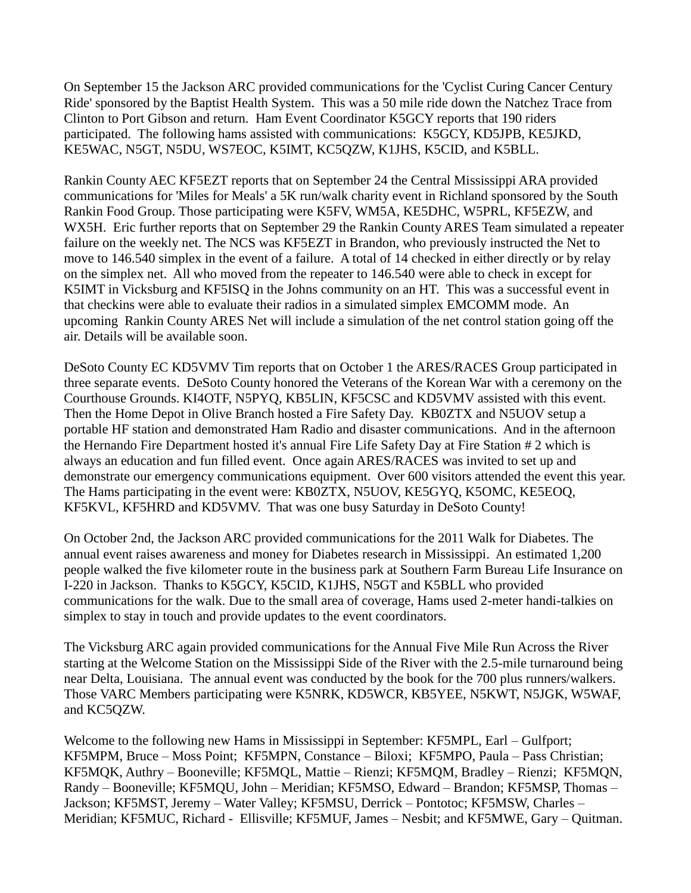On September 15 the Jackson ARC provided communications for the 'Cyclist Curing Cancer Century Ride' sponsored by the Baptist Health System. This was a 50 mile ride down the Natchez Trace from Clinton to Port Gibson and return. Ham Event Coordinator K5GCY reports that 190 riders participated. The following hams assisted with communications: K5GCY, KD5JPB, KE5JKD, KE5WAC, N5GT, N5DU, WS7EOC, K5IMT, KC5QZW, K1JHS, K5CID, and K5BLL.

Rankin County AEC KF5EZT reports that on September 24 the Central Mississippi ARA provided communications for 'Miles for Meals' a 5K run/walk charity event in Richland sponsored by the South Rankin Food Group. Those participating were K5FV, WM5A, KE5DHC, W5PRL, KF5EZW, and WX5H. Eric further reports that on September 29 the Rankin County ARES Team simulated a repeater failure on the weekly net. The NCS was KF5EZT in Brandon, who previously instructed the Net to move to 146.540 simplex in the event of a failure. A total of 14 checked in either directly or by relay on the simplex net. All who moved from the repeater to 146.540 were able to check in except for K5IMT in Vicksburg and KF5ISQ in the Johns community on an HT. This was a successful event in that checkins were able to evaluate their radios in a simulated simplex EMCOMM mode. An upcoming Rankin County ARES Net will include a simulation of the net control station going off the air. Details will be available soon.

DeSoto County EC KD5VMV Tim reports that on October 1 the ARES/RACES Group participated in three separate events. DeSoto County honored the Veterans of the Korean War with a ceremony on the Courthouse Grounds. KI4OTF, N5PYQ, KB5LIN, KF5CSC and KD5VMV assisted with this event. Then the Home Depot in Olive Branch hosted a Fire Safety Day. KB0ZTX and N5UOV setup a portable HF station and demonstrated Ham Radio and disaster communications. And in the afternoon the Hernando Fire Department hosted it's annual Fire Life Safety Day at Fire Station # 2 which is always an education and fun filled event. Once again ARES/RACES was invited to set up and demonstrate our emergency communications equipment. Over 600 visitors attended the event this year. The Hams participating in the event were: KB0ZTX, N5UOV, KE5GYQ, K5OMC, KE5EOQ, KF5KVL, KF5HRD and KD5VMV. That was one busy Saturday in DeSoto County!

On October 2nd, the Jackson ARC provided communications for the 2011 Walk for Diabetes. The annual event raises awareness and money for Diabetes research in Mississippi. An estimated 1,200 people walked the five kilometer route in the business park at Southern Farm Bureau Life Insurance on I-220 in Jackson. Thanks to K5GCY, K5CID, K1JHS, N5GT and K5BLL who provided communications for the walk. Due to the small area of coverage, Hams used 2-meter handi-talkies on simplex to stay in touch and provide updates to the event coordinators.

The Vicksburg ARC again provided communications for the Annual Five Mile Run Across the River starting at the Welcome Station on the Mississippi Side of the River with the 2.5-mile turnaround being near Delta, Louisiana. The annual event was conducted by the book for the 700 plus runners/walkers. Those VARC Members participating were K5NRK, KD5WCR, KB5YEE, N5KWT, N5JGK, W5WAF, and KC5QZW.

Welcome to the following new Hams in Mississippi in September: KF5MPL, Earl – Gulfport; KF5MPM, Bruce – Moss Point; KF5MPN, Constance – Biloxi; KF5MPO, Paula – Pass Christian; KF5MQK, Authry – Booneville; KF5MQL, Mattie – Rienzi; KF5MQM, Bradley – Rienzi; KF5MQN, Randy – Booneville; KF5MQU, John – Meridian; KF5MSO, Edward – Brandon; KF5MSP, Thomas – Jackson; KF5MST, Jeremy – Water Valley; KF5MSU, Derrick – Pontotoc; KF5MSW, Charles – Meridian; KF5MUC, Richard - Ellisville; KF5MUF, James – Nesbit; and KF5MWE, Gary – Quitman.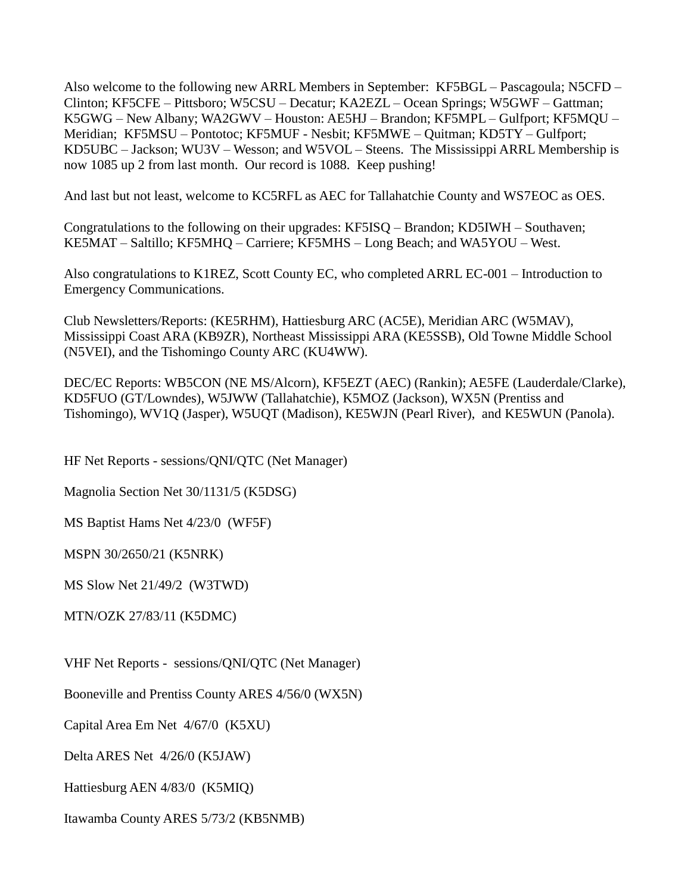Also welcome to the following new ARRL Members in September: KF5BGL – Pascagoula; N5CFD – Clinton; KF5CFE – Pittsboro; W5CSU – Decatur; KA2EZL – Ocean Springs; W5GWF – Gattman; K5GWG – New Albany; WA2GWV – Houston: AE5HJ – Brandon; KF5MPL – Gulfport; KF5MQU – Meridian; KF5MSU – Pontotoc; KF5MUF - Nesbit; KF5MWE – Quitman; KD5TY – Gulfport; KD5UBC – Jackson; WU3V – Wesson; and W5VOL – Steens. The Mississippi ARRL Membership is now 1085 up 2 from last month. Our record is 1088. Keep pushing!

And last but not least, welcome to KC5RFL as AEC for Tallahatchie County and WS7EOC as OES.

Congratulations to the following on their upgrades: KF5ISQ – Brandon; KD5IWH – Southaven; KE5MAT – Saltillo; KF5MHQ – Carriere; KF5MHS – Long Beach; and WA5YOU – West.

Also congratulations to K1REZ, Scott County EC, who completed ARRL EC-001 – Introduction to Emergency Communications.

Club Newsletters/Reports: (KE5RHM), Hattiesburg ARC (AC5E), Meridian ARC (W5MAV), Mississippi Coast ARA (KB9ZR), Northeast Mississippi ARA (KE5SSB), Old Towne Middle School (N5VEI), and the Tishomingo County ARC (KU4WW).

DEC/EC Reports: WB5CON (NE MS/Alcorn), KF5EZT (AEC) (Rankin); AE5FE (Lauderdale/Clarke), KD5FUO (GT/Lowndes), W5JWW (Tallahatchie), K5MOZ (Jackson), WX5N (Prentiss and Tishomingo), WV1Q (Jasper), W5UQT (Madison), KE5WJN (Pearl River), and KE5WUN (Panola).

HF Net Reports - sessions/QNI/QTC (Net Manager)

Magnolia Section Net 30/1131/5 (K5DSG)

MS Baptist Hams Net 4/23/0 (WF5F)

MSPN 30/2650/21 (K5NRK)

MS Slow Net 21/49/2 (W3TWD)

MTN/OZK 27/83/11 (K5DMC)

VHF Net Reports - sessions/QNI/QTC (Net Manager)

Booneville and Prentiss County ARES 4/56/0 (WX5N)

Capital Area Em Net 4/67/0 (K5XU)

Delta ARES Net 4/26/0 (K5JAW)

Hattiesburg AEN 4/83/0 (K5MIQ)

Itawamba County ARES 5/73/2 (KB5NMB)